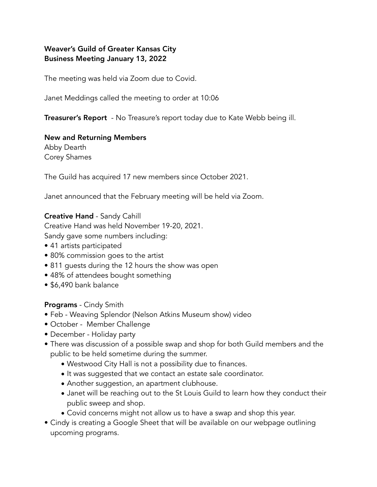# Weaver's Guild of Greater Kansas City Business Meeting January 13, 2022

The meeting was held via Zoom due to Covid.

Janet Meddings called the meeting to order at 10:06

**Treasurer's Report** - No Treasure's report today due to Kate Webb being ill.

#### New and Returning Members

Abby Dearth Corey Shames

The Guild has acquired 17 new members since October 2021.

Janet announced that the February meeting will be held via Zoom.

#### Creative Hand - Sandy Cahill

Creative Hand was held November 19-20, 2021.

Sandy gave some numbers including:

- 41 artists participated
- 80% commission goes to the artist
- 811 guests during the 12 hours the show was open
- 48% of attendees bought something
- \$6,490 bank balance

Programs - Cindy Smith

- Feb Weaving Splendor (Nelson Atkins Museum show) video
- October Member Challenge
- December Holiday party
- There was discussion of a possible swap and shop for both Guild members and the public to be held sometime during the summer.
	- Westwood City Hall is not a possibility due to finances.
	- It was suggested that we contact an estate sale coordinator.
	- Another suggestion, an apartment clubhouse.
	- Janet will be reaching out to the St Louis Guild to learn how they conduct their public sweep and shop.
	- Covid concerns might not allow us to have a swap and shop this year.
- Cindy is creating a Google Sheet that will be available on our webpage outlining upcoming programs.